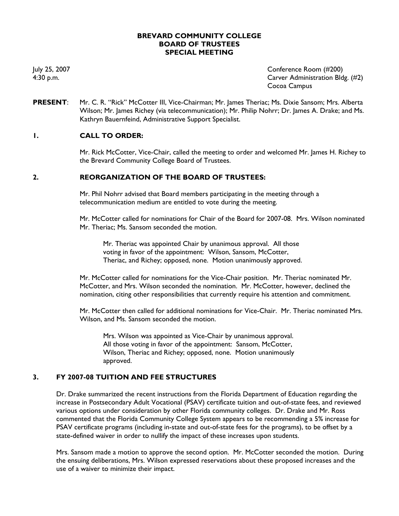#### **BREVARD COMMUNITY COLLEGE BOARD OF TRUSTEES SPECIAL MEETING**

July 25, 2007 Conference Room (#200) 4:30 p.m. Carver Administration Bldg. (#2) Cocoa Campus

**PRESENT**: Mr. C. R. "Rick" McCotter III, Vice-Chairman; Mr. James Theriac; Ms. Dixie Sansom; Mrs. Alberta Wilson; Mr. James Richey (via telecommunication); Mr. Philip Nohrr; Dr. James A. Drake; and Ms. Kathryn Bauernfeind, Administrative Support Specialist.

# **1. CALL TO ORDER:**

Mr. Rick McCotter, Vice-Chair, called the meeting to order and welcomed Mr. James H. Richey to the Brevard Community College Board of Trustees.

## **2. REORGANIZATION OF THE BOARD OF TRUSTEES:**

Mr. Phil Nohrr advised that Board members participating in the meeting through a telecommunication medium are entitled to vote during the meeting.

Mr. McCotter called for nominations for Chair of the Board for 2007-08. Mrs. Wilson nominated Mr. Theriac; Ms. Sansom seconded the motion.

Mr. Theriac was appointed Chair by unanimous approval. All those voting in favor of the appointment: Wilson, Sansom, McCotter, Theriac, and Richey; opposed, none. Motion unanimously approved.

Mr. McCotter called for nominations for the Vice-Chair position. Mr. Theriac nominated Mr. McCotter, and Mrs. Wilson seconded the nomination. Mr. McCotter, however, declined the nomination, citing other responsibilities that currently require his attention and commitment.

Mr. McCotter then called for additional nominations for Vice-Chair. Mr. Theriac nominated Mrs. Wilson, and Ms. Sansom seconded the motion.

Mrs. Wilson was appointed as Vice-Chair by unanimous approval. All those voting in favor of the appointment: Sansom, McCotter, Wilson, Theriac and Richey; opposed, none. Motion unanimously approved.

#### **3. FY 2007-08 TUITION AND FEE STRUCTURES**

Dr. Drake summarized the recent instructions from the Florida Department of Education regarding the increase in Postsecondary Adult Vocational (PSAV) certificate tuition and out-of-state fees, and reviewed various options under consideration by other Florida community colleges. Dr. Drake and Mr. Ross commented that the Florida Community College System appears to be recommending a 5% increase for PSAV certificate programs (including in-state and out-of-state fees for the programs), to be offset by a state-defined waiver in order to nullify the impact of these increases upon students.

Mrs. Sansom made a motion to approve the second option. Mr. McCotter seconded the motion. During the ensuing deliberations, Mrs. Wilson expressed reservations about these proposed increases and the use of a waiver to minimize their impact.